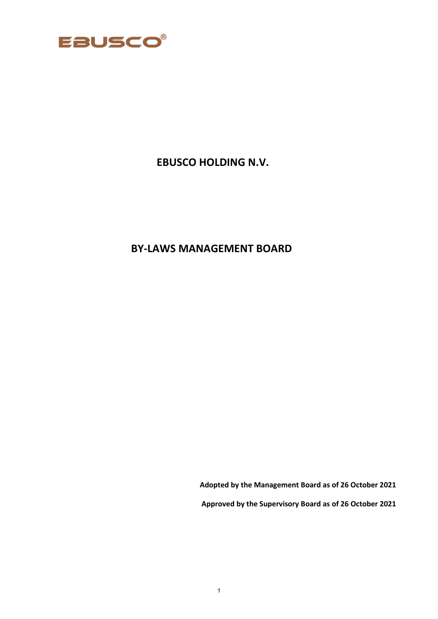

# **EBUSCO HOLDING N.V.**

# **BY-LAWS MANAGEMENT BOARD**

**Adopted by the Management Board as of 26 October 2021**

**Approved by the Supervisory Board as of 26 October 2021**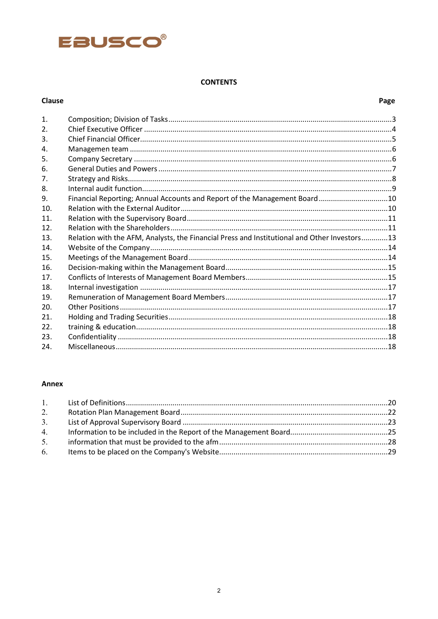

# **CONTENTS**

# Clause

# Page

| $\mathbf{1}$ . |                                                                                              |  |
|----------------|----------------------------------------------------------------------------------------------|--|
| 2.             |                                                                                              |  |
| 3.             |                                                                                              |  |
| 4.             |                                                                                              |  |
| 5.             |                                                                                              |  |
| 6.             |                                                                                              |  |
| 7 <sub>1</sub> |                                                                                              |  |
| 8.             |                                                                                              |  |
| 9.             | Financial Reporting; Annual Accounts and Report of the Management Board10                    |  |
| 10.            |                                                                                              |  |
| 11.            |                                                                                              |  |
| 12.            |                                                                                              |  |
| 13.            | Relation with the AFM, Analysts, the Financial Press and Institutional and Other Investors13 |  |
| 14.            |                                                                                              |  |
| 15.            |                                                                                              |  |
| 16.            |                                                                                              |  |
| 17.            |                                                                                              |  |
| 18.            |                                                                                              |  |
| 19.            |                                                                                              |  |
| 20.            |                                                                                              |  |
| 21.            |                                                                                              |  |
| 22.            |                                                                                              |  |
| 23.            |                                                                                              |  |
| 24.            |                                                                                              |  |

# Annex

| 2. |  |
|----|--|
|    |  |
|    |  |
| 5. |  |
|    |  |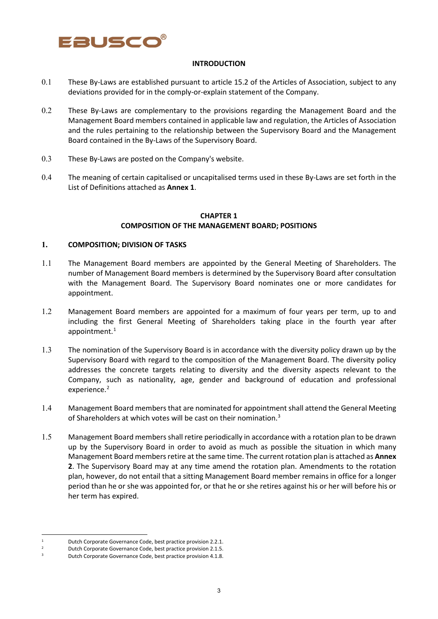

#### **INTRODUCTION**

- 0.1 These By-Laws are established pursuant to article 15.2 of the Articles of Association, subject to any deviations provided for in the comply-or-explain statement of the Company.
- 0.2 These By-Laws are complementary to the provisions regarding the Management Board and the Management Board members contained in applicable law and regulation, the Articles of Association and the rules pertaining to the relationship between the Supervisory Board and the Management Board contained in the By-Laws of the Supervisory Board.
- 0.3 These By-Laws are posted on the Company's website.
- 0.4 The meaning of certain capitalised or uncapitalised terms used in these By-Laws are set forth in the List of Definitions attached as **Annex 1**.

### **CHAPTER 1 COMPOSITION OF THE MANAGEMENT BOARD; POSITIONS**

#### **1. COMPOSITION; DIVISION OF TASKS**

- 1.1 The Management Board members are appointed by the General Meeting of Shareholders. The number of Management Board members is determined by the Supervisory Board after consultation with the Management Board. The Supervisory Board nominates one or more candidates for appointment.
- 1.2 Management Board members are appointed for a maximum of four years per term, up to and including the first General Meeting of Shareholders taking place in the fourth year after appointment. [1](#page-2-0)
- 1.3 The nomination of the Supervisory Board is in accordance with the diversity policy drawn up by the Supervisory Board with regard to the composition of the Management Board. The diversity policy addresses the concrete targets relating to diversity and the diversity aspects relevant to the Company, such as nationality, age, gender and background of education and professional experience. [2](#page-2-1)
- 1.4 Management Board members that are nominated for appointment shall attend the General Meeting of Shareholders at which votes will be cast on their nomination.<sup>[3](#page-2-2)</sup>
- 1.5 Management Board members shall retire periodically in accordance with a rotation plan to be drawn up by the Supervisory Board in order to avoid as much as possible the situation in which many Management Board members retire at the same time. The current rotation plan is attached as **Annex 2**. The Supervisory Board may at any time amend the rotation plan. Amendments to the rotation plan, however, do not entail that a sitting Management Board member remains in office for a longer period than he or she was appointed for, or that he or she retires against his or her will before his or her term has expired.

<sup>1</sup> Dutch Corporate Governance Code, best practice provision 2.2.1.

<span id="page-2-1"></span><span id="page-2-0"></span><sup>&</sup>lt;sup>2</sup> Dutch Corporate Governance Code, best practice provision 2.1.5.

<span id="page-2-2"></span><sup>3</sup> Dutch Corporate Governance Code, best practice provision 4.1.8.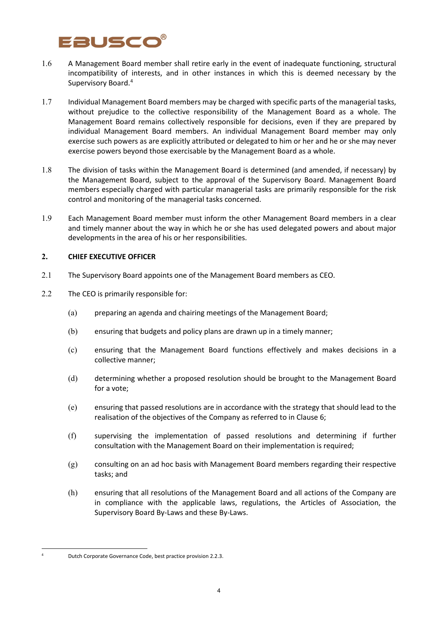# Eausco

- 1.6 A Management Board member shall retire early in the event of inadequate functioning, structural incompatibility of interests, and in other instances in which this is deemed necessary by the Supervisory Board[.4](#page-3-0)
- 1.7 Individual Management Board members may be charged with specific parts of the managerial tasks, without prejudice to the collective responsibility of the Management Board as a whole. The Management Board remains collectively responsible for decisions, even if they are prepared by individual Management Board members. An individual Management Board member may only exercise such powers as are explicitly attributed or delegated to him or her and he or she may never exercise powers beyond those exercisable by the Management Board as a whole.
- 1.8 The division of tasks within the Management Board is determined (and amended, if necessary) by the Management Board, subject to the approval of the Supervisory Board. Management Board members especially charged with particular managerial tasks are primarily responsible for the risk control and monitoring of the managerial tasks concerned.
- 1.9 Each Management Board member must inform the other Management Board members in a clear and timely manner about the way in which he or she has used delegated powers and about major developments in the area of his or her responsibilities.

## **2. CHIEF EXECUTIVE OFFICER**

- 2.1 The Supervisory Board appoints one of the Management Board members as CEO.
- 2.2 The CEO is primarily responsible for:
	- (a) preparing an agenda and chairing meetings of the Management Board;
	- (b) ensuring that budgets and policy plans are drawn up in a timely manner;
	- (c) ensuring that the Management Board functions effectively and makes decisions in a collective manner;
	- (d) determining whether a proposed resolution should be brought to the Management Board for a vote;
	- (e) ensuring that passed resolutions are in accordance with the strategy that should lead to the realisation of the objectives of the Company as referred to in Clause 6;
	- (f) supervising the implementation of passed resolutions and determining if further consultation with the Management Board on their implementation is required;
	- (g) consulting on an ad hoc basis with Management Board members regarding their respective tasks; and
	- (h) ensuring that all resolutions of the Management Board and all actions of the Company are in compliance with the applicable laws, regulations, the Articles of Association, the Supervisory Board By-Laws and these By-Laws.

<span id="page-3-0"></span><sup>4</sup> Dutch Corporate Governance Code, best practice provision 2.2.3.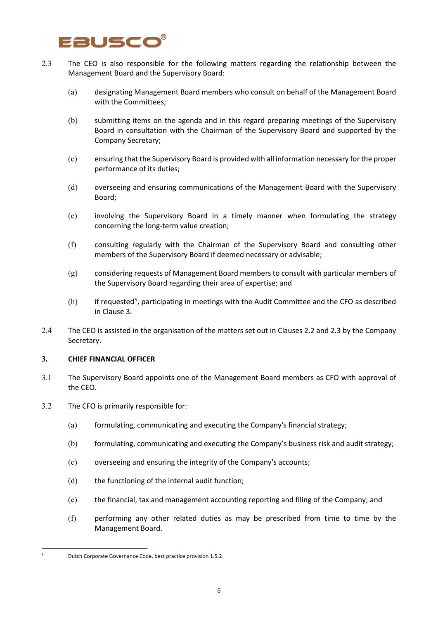# 2USCC

- 2.3 The CEO is also responsible for the following matters regarding the relationship between the Management Board and the Supervisory Board:
	- (a) designating Management Board members who consult on behalf of the Management Board with the Committees;
	- (b) submitting items on the agenda and in this regard preparing meetings of the Supervisory Board in consultation with the Chairman of the Supervisory Board and supported by the Company Secretary;
	- (c) ensuring that the Supervisory Board is provided with all information necessary for the proper performance of its duties;
	- (d) overseeing and ensuring communications of the Management Board with the Supervisory Board;
	- (e) involving the Supervisory Board in a timely manner when formulating the strategy concerning the long-term value creation;
	- (f) consulting regularly with the Chairman of the Supervisory Board and consulting other members of the Supervisory Board if deemed necessary or advisable;
	- (g) considering requests of Management Board members to consult with particular members of the Supervisory Board regarding their area of expertise; and
	- $(h)$  if requested<sup>[5](#page-4-0)</sup>, participating in meetings with the Audit Committee and the CFO as described in Clause 3.
- 2.4 The CEO is assisted in the organisation of the matters set out in Clauses 2.2 and 2.3 by the Company Secretary.

### **3. CHIEF FINANCIAL OFFICER**

- 3.1 The Supervisory Board appoints one of the Management Board members as CFO with approval of the CEO.
- 3.2 The CFO is primarily responsible for:
	- (a) formulating, communicating and executing the Company's financial strategy;
	- (b) formulating, communicating and executing the Company's business risk and audit strategy;
	- (c) overseeing and ensuring the integrity of the Company's accounts;
	- (d) the functioning of the internal audit function;
	- (e) the financial, tax and management accounting reporting and filing of the Company; and
	- (f) performing any other related duties as may be prescribed from time to time by the Management Board.

<span id="page-4-0"></span><sup>5</sup> Dutch Corporate Governance Code, best practice provision 1.5.2.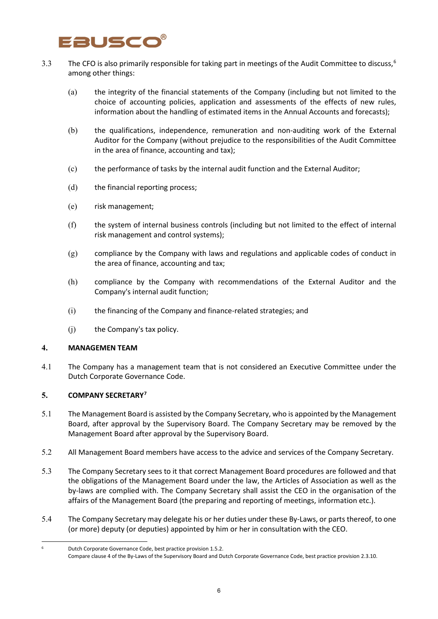# Eausco

- 3.3 The CFO is also primarily responsible for taking part in meetings of the Audit Committee to discuss,  $6$ among other things:
	- (a) the integrity of the financial statements of the Company (including but not limited to the choice of accounting policies, application and assessments of the effects of new rules, information about the handling of estimated items in the Annual Accounts and forecasts);
	- (b) the qualifications, independence, remuneration and non-auditing work of the External Auditor for the Company (without prejudice to the responsibilities of the Audit Committee in the area of finance, accounting and tax);
	- (c) the performance of tasks by the internal audit function and the External Auditor;
	- (d) the financial reporting process;
	- (e) risk management;
	- (f) the system of internal business controls (including but not limited to the effect of internal risk management and control systems);
	- (g) compliance by the Company with laws and regulations and applicable codes of conduct in the area of finance, accounting and tax;
	- (h) compliance by the Company with recommendations of the External Auditor and the Company's internal audit function;
	- (i) the financing of the Company and finance-related strategies; and
	- (j) the Company's tax policy.

### **4. MANAGEMEN TEAM**

4.1 The Company has a management team that is not considered an Executive Committee under the Dutch Corporate Governance Code.

## **5. COMPANY SECRETARY[7](#page-5-1)**

- 5.1 The Management Board is assisted by the Company Secretary, who is appointed by the Management Board, after approval by the Supervisory Board. The Company Secretary may be removed by the Management Board after approval by the Supervisory Board.
- 5.2 All Management Board members have access to the advice and services of the Company Secretary.
- 5.3 The Company Secretary sees to it that correct Management Board procedures are followed and that the obligations of the Management Board under the law, the Articles of Association as well as the by-laws are complied with. The Company Secretary shall assist the CEO in the organisation of the affairs of the Management Board (the preparing and reporting of meetings, information etc.).
- 5.4 The Company Secretary may delegate his or her duties under these By-Laws, or parts thereof, to one (or more) deputy (or deputies) appointed by him or her in consultation with the CEO.

<span id="page-5-1"></span><span id="page-5-0"></span><sup>6</sup> Dutch Corporate Governance Code, best practice provision 1.5.2.

Compare clause 4 of the By-Laws of the Supervisory Board and Dutch Corporate Governance Code, best practice provision 2.3.10.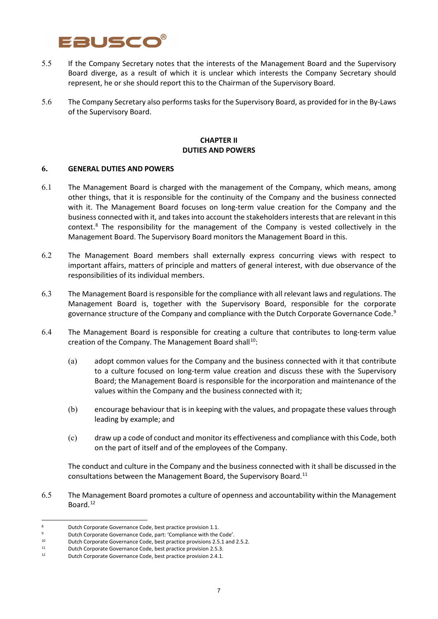# Eauscc

- 5.5 If the Company Secretary notes that the interests of the Management Board and the Supervisory Board diverge, as a result of which it is unclear which interests the Company Secretary should represent, he or she should report this to the Chairman of the Supervisory Board.
- 5.6 The Company Secretary also performs tasks for the Supervisory Board, as provided for in the By-Laws of the Supervisory Board.

### **CHAPTER II DUTIES AND POWERS**

### **6. GENERAL DUTIES AND POWERS**

- 6.1 The Management Board is charged with the management of the Company, which means, among other things, that it is responsible for the continuity of the Company and the business connected with it. The Management Board focuses on long-term value creation for the Company and the business connected with it, and takes into account the stakeholders interests that are relevant in this context. [8](#page-6-0) The responsibility for the management of the Company is vested collectively in the Management Board. The Supervisory Board monitors the Management Board in this.
- 6.2 The Management Board members shall externally express concurring views with respect to important affairs, matters of principle and matters of general interest, with due observance of the responsibilities of its individual members.
- 6.3 The Management Board is responsible for the compliance with all relevant laws and regulations. The Management Board is, together with the Supervisory Board, responsible for the corporate governance structure of the Company and compliance with the Dutch Corporate Governance Code.<sup>[9](#page-6-1)</sup>
- 6.4 The Management Board is responsible for creating a culture that contributes to long-term value creation of the Company. The Management Board shall<sup>[10](#page-6-2)</sup>:
	- (a) adopt common values for the Company and the business connected with it that contribute to a culture focused on long-term value creation and discuss these with the Supervisory Board; the Management Board is responsible for the incorporation and maintenance of the values within the Company and the business connected with it;
	- (b) encourage behaviour that is in keeping with the values, and propagate these values through leading by example; and
	- (c) draw up a code of conduct and monitor its effectiveness and compliance with this Code, both on the part of itself and of the employees of the Company.

The conduct and culture in the Company and the business connected with it shall be discussed in the consultations between the Management Board, the Supervisory Board.[11](#page-6-3)

6.5 The Management Board promotes a culture of openness and accountability within the Management Board. [12](#page-6-4)

<span id="page-6-0"></span><sup>8</sup> Dutch Corporate Governance Code, best practice provision 1.1.

<span id="page-6-1"></span><sup>&</sup>lt;sup>9</sup> Dutch Corporate Governance Code, part: 'Compliance with the Code'.<br><sup>10</sup> Dutch Corporate Governance Code, best practice provisions 2.5.1 and

<span id="page-6-2"></span><sup>10</sup> Dutch Corporate Governance Code, best practice provisions 2.5.1 and 2.5.2.<br>
21 Dutch Corporate Governance Code, best practice provision 2.5.3.<br>
21 Dutch Corporate Governance Code, best practice provision 2.4.1

<span id="page-6-3"></span>

<span id="page-6-4"></span><sup>12</sup> Dutch Corporate Governance Code, best practice provision 2.4.1.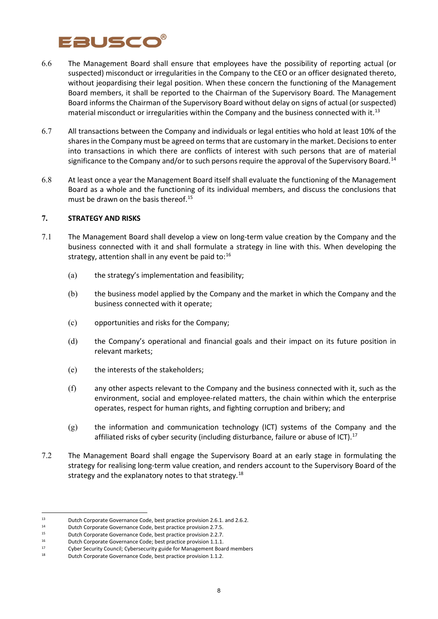# Eauscc

- 6.6 The Management Board shall ensure that employees have the possibility of reporting actual (or suspected) misconduct or irregularities in the Company to the CEO or an officer designated thereto, without jeopardising their legal position. When these concern the functioning of the Management Board members, it shall be reported to the Chairman of the Supervisory Board. The Management Board informs the Chairman of the Supervisory Board without delay on signs of actual (or suspected) material misconduct or irregularities within the Company and the business connected with it.<sup>[13](#page-7-0)</sup>
- 6.7 All transactions between the Company and individuals or legal entities who hold at least 10% of the shares in the Company must be agreed on terms that are customary in the market. Decisions to enter into transactions in which there are conflicts of interest with such persons that are of material significance to the Company and/or to such persons require the approval of the Supervisory Board.<sup>[14](#page-7-1)</sup>
- 6.8 At least once a year the Management Board itself shall evaluate the functioning of the Management Board as a whole and the functioning of its individual members, and discuss the conclusions that must be drawn on the basis thereof.<sup>[15](#page-7-2)</sup>

### **7. STRATEGY AND RISKS**

- 7.1 The Management Board shall develop a view on long-term value creation by the Company and the business connected with it and shall formulate a strategy in line with this. When developing the strategy, attention shall in any event be paid to:<sup>[16](#page-7-3)</sup>
	- (a) the strategy's implementation and feasibility;
	- (b) the business model applied by the Company and the market in which the Company and the business connected with it operate;
	- (c) opportunities and risks for the Company;
	- (d) the Company's operational and financial goals and their impact on its future position in relevant markets;
	- (e) the interests of the stakeholders;
	- (f) any other aspects relevant to the Company and the business connected with it, such as the environment, social and employee-related matters, the chain within which the enterprise operates, respect for human rights, and fighting corruption and bribery; and
	- $(g)$  the information and communication technology (ICT) systems of the Company and the affiliated risks of cyber security (including disturbance, failure or abuse of ICT).<sup>[17](#page-7-4)</sup>
- 7.2 The Management Board shall engage the Supervisory Board at an early stage in formulating the strategy for realising long-term value creation, and renders account to the Supervisory Board of the strategy and the explanatory notes to that strategy.<sup>[18](#page-7-5)</sup>

<span id="page-7-0"></span><sup>13</sup> Dutch Corporate Governance Code, best practice provision 2.6.1. and 2.6.2.<br>
Dutch Corporate Governance Code, best practice provision 2.7 5

<span id="page-7-1"></span><sup>14</sup> Dutch Corporate Governance Code, best practice provision 2.7.5.<br>15 Dutch Corporate Covernance Code, best practice provision 2.2.7.

<span id="page-7-2"></span><sup>15</sup> Dutch Corporate Governance Code, best practice provision 2.2.7.<br>16 Dutch Corporate Governance Code: best practice provision 1.1.1.

Dutch Corporate Governance Code; best practice provision 1.1.1.

<span id="page-7-4"></span><span id="page-7-3"></span><sup>&</sup>lt;sup>17</sup> Cyber Security Council; Cybersecurity guide for Management Board members<br><sup>18</sup> Dutch Corporate Governance Code, best practice provision 1.1.2

<span id="page-7-5"></span>Dutch Corporate Governance Code, best practice provision 1.1.2.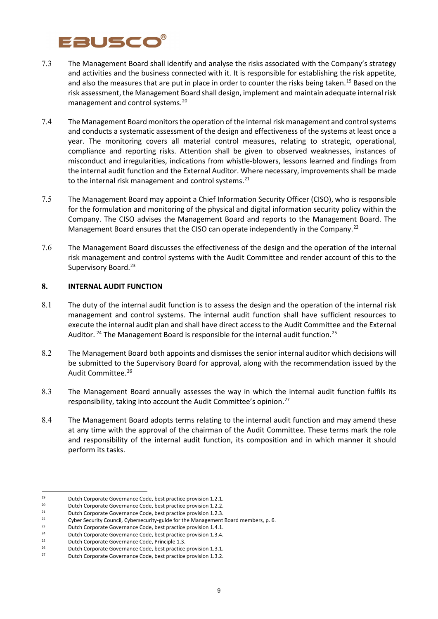# Fauscc

- 7.3 The Management Board shall identify and analyse the risks associated with the Company's strategy and activities and the business connected with it. It is responsible for establishing the risk appetite, and also the measures that are put in place in order to counter the risks being taken.<sup>[19](#page-8-0)</sup> Based on the risk assessment, the Management Board shall design, implement and maintain adequate internal risk management and control systems.[20](#page-8-1)
- 7.4 The Management Board monitors the operation of the internal risk management and control systems and conducts a systematic assessment of the design and effectiveness of the systems at least once a year. The monitoring covers all material control measures, relating to strategic, operational, compliance and reporting risks. Attention shall be given to observed weaknesses, instances of misconduct and irregularities, indications from whistle-blowers, lessons learned and findings from the internal audit function and the External Auditor. Where necessary, improvements shall be made to the internal risk management and control systems.<sup>[21](#page-8-2)</sup>
- 7.5 The Management Board may appoint a Chief Information Security Officer (CISO), who is responsible for the formulation and monitoring of the physical and digital information security policy within the Company. The CISO advises the Management Board and reports to the Management Board. The Management Board ensures that the CISO can operate independently in the Company.<sup>[22](#page-8-3)</sup>
- 7.6 The Management Board discusses the effectiveness of the design and the operation of the internal risk management and control systems with the Audit Committee and render account of this to the Supervisory Board.<sup>[23](#page-8-4)</sup>

### **8. INTERNAL AUDIT FUNCTION**

- 8.1 The duty of the internal audit function is to assess the design and the operation of the internal risk management and control systems. The internal audit function shall have sufficient resources to execute the internal audit plan and shall have direct access to the Audit Committee and the External Auditor. <sup>[24](#page-8-5)</sup> The Management Board is responsible for the internal audit function.<sup>[25](#page-8-6)</sup>
- 8.2 The Management Board both appoints and dismisses the senior internal auditor which decisions will be submitted to the Supervisory Board for approval, along with the recommendation issued by the Audit Committee.<sup>[26](#page-8-7)</sup>
- 8.3 The Management Board annually assesses the way in which the internal audit function fulfils its responsibility, taking into account the Audit Committee's opinion.<sup>[27](#page-8-8)</sup>
- 8.4 The Management Board adopts terms relating to the internal audit function and may amend these at any time with the approval of the chairman of the Audit Committee. These terms mark the role and responsibility of the internal audit function, its composition and in which manner it should perform its tasks.

<span id="page-8-0"></span><sup>19</sup> Dutch Corporate Governance Code, best practice provision 1.2.1.<br>20 Dutch Corporate Covernance Code, best practice provision 1.2.2.

<span id="page-8-1"></span><sup>20</sup> Dutch Corporate Governance Code, best practice provision 1.2.2.<br>Putch Corporate Governance Code, best practice provision 1.2.2.

<span id="page-8-2"></span><sup>&</sup>lt;sup>21</sup> Dutch Corporate Governance Code, best practice provision 1.2.3.<br>Cubes Sequity Council Cubesconvity quide for the Management

<sup>&</sup>lt;sup>22</sup> Cyber Security Council, Cybersecurity-guide for the Management Board members, p. 6.<br><sup>23</sup> Dutch Corporate Governance Code, best practice provision 1.4.1

<span id="page-8-5"></span><span id="page-8-4"></span><span id="page-8-3"></span><sup>&</sup>lt;sup>23</sup> Dutch Corporate Governance Code, best practice provision 1.4.1.<br><sup>24</sup> Dutch Corporate Covernance Code, best practice provision 1.2.4.

<sup>&</sup>lt;sup>24</sup> Dutch Corporate Governance Code, best practice provision 1.3.4.<br><sup>25</sup> Dutch Corporate Governance Code, Principle 1.3

Dutch Corporate Governance Code, Principle 1.3.

<span id="page-8-7"></span><span id="page-8-6"></span><sup>&</sup>lt;sup>26</sup> Dutch Corporate Governance Code, best practice provision 1.3.1.<br><sup>27</sup> Dutch Corporate Governance Code, best practice provision 1.3.2.

<span id="page-8-8"></span><sup>27</sup> Dutch Corporate Governance Code, best practice provision 1.3.2.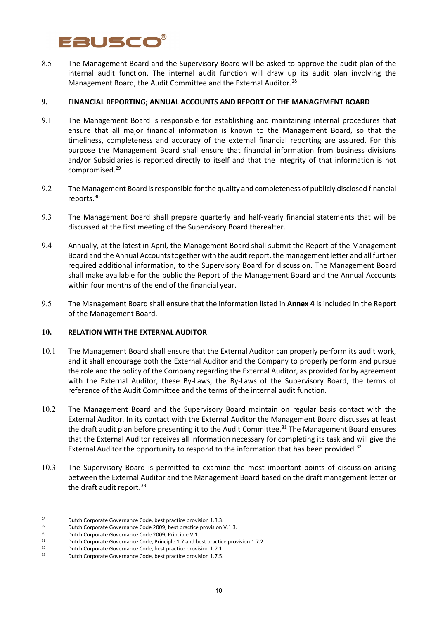# Eausco

8.5 The Management Board and the Supervisory Board will be asked to approve the audit plan of the internal audit function. The internal audit function will draw up its audit plan involving the Management Board, the Audit Committee and the External Auditor.<sup>[28](#page-9-0)</sup>

### **9. FINANCIAL REPORTING; ANNUAL ACCOUNTS AND REPORT OF THE MANAGEMENT BOARD**

- 9.1 The Management Board is responsible for establishing and maintaining internal procedures that ensure that all major financial information is known to the Management Board, so that the timeliness, completeness and accuracy of the external financial reporting are assured. For this purpose the Management Board shall ensure that financial information from business divisions and/or Subsidiaries is reported directly to itself and that the integrity of that information is not compromised[.29](#page-9-1)
- 9.2 The Management Board is responsible for the quality and completeness of publicly disclosed financial reports.[30](#page-9-2)
- 9.3 The Management Board shall prepare quarterly and half-yearly financial statements that will be discussed at the first meeting of the Supervisory Board thereafter.
- 9.4 Annually, at the latest in April, the Management Board shall submit the Report of the Management Board and the Annual Accounts together with the audit report, the management letter and all further required additional information, to the Supervisory Board for discussion. The Management Board shall make available for the public the Report of the Management Board and the Annual Accounts within four months of the end of the financial year.
- 9.5 The Management Board shall ensure that the information listed in **Annex 4** is included in the Report of the Management Board.

### **10. RELATION WITH THE EXTERNAL AUDITOR**

- 10.1 The Management Board shall ensure that the External Auditor can properly perform its audit work, and it shall encourage both the External Auditor and the Company to properly perform and pursue the role and the policy of the Company regarding the External Auditor, as provided for by agreement with the External Auditor, these By-Laws, the By-Laws of the Supervisory Board, the terms of reference of the Audit Committee and the terms of the internal audit function.
- 10.2 The Management Board and the Supervisory Board maintain on regular basis contact with the External Auditor. In its contact with the External Auditor the Management Board discusses at least the draft audit plan before presenting it to the Audit Committee.<sup>[31](#page-9-3)</sup> The Management Board ensures that the External Auditor receives all information necessary for completing its task and will give the External Auditor the opportunity to respond to the information that has been provided. $32$
- 10.3 The Supervisory Board is permitted to examine the most important points of discussion arising between the External Auditor and the Management Board based on the draft management letter or the draft audit report. $33$

<span id="page-9-0"></span><sup>28</sup> Dutch Corporate Governance Code, best practice provision 1.3.3.<br>Dutch Corporate Governance Code 2009, best practice provision

<span id="page-9-1"></span><sup>&</sup>lt;sup>29</sup> Dutch Corporate Governance Code 2009, best practice provision V.1.3.<br><sup>30</sup> Dutch Corporate Covernance Code 2000, Bringiale V.1.

<span id="page-9-2"></span><sup>&</sup>lt;sup>30</sup> Dutch Corporate Governance Code 2009, Principle V.1.<br><sup>31</sup> Dutch Corporate Governance Code, Principle 1.7 and by

Dutch Corporate Governance Code, Principle 1.7 and best practice provision 1.7.2.

<span id="page-9-5"></span><span id="page-9-4"></span><span id="page-9-3"></span> $32$  Dutch Corporate Governance Code, best practice provision 1.7.1.<br> $33$  Dutch Corporate Governance Code, best practice provision 1.7.5.

<sup>33</sup> Dutch Corporate Governance Code, best practice provision 1.7.5.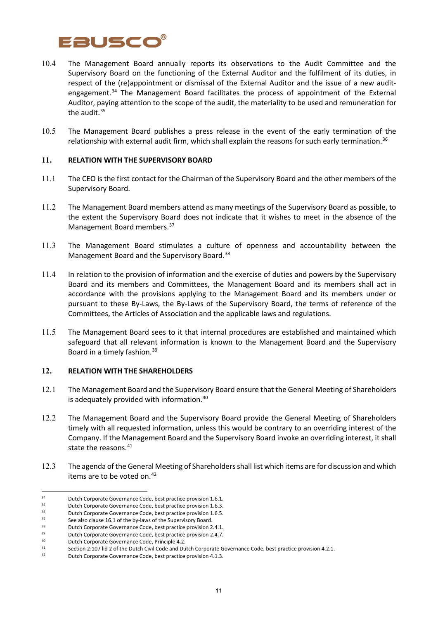

- 10.4 The Management Board annually reports its observations to the Audit Committee and the Supervisory Board on the functioning of the External Auditor and the fulfilment of its duties, in respect of the (re)appointment or dismissal of the External Auditor and the issue of a new audit-engagement.<sup>[34](#page-10-0)</sup> The Management Board facilitates the process of appointment of the External Auditor, paying attention to the scope of the audit, the materiality to be used and remuneration for the audit.<sup>[35](#page-10-1)</sup>
- 10.5 The Management Board publishes a press release in the event of the early termination of the relationship with external audit firm, which shall explain the reasons for such early termination.<sup>[36](#page-10-2)</sup>

### **11. RELATION WITH THE SUPERVISORY BOARD**

- 11.1 The CEO is the first contact for the Chairman of the Supervisory Board and the other members of the Supervisory Board.
- 11.2 The Management Board members attend as many meetings of the Supervisory Board as possible, to the extent the Supervisory Board does not indicate that it wishes to meet in the absence of the Management Board members. [37](#page-10-3)
- 11.3 The Management Board stimulates a culture of openness and accountability between the Management Board and the Supervisory Board.<sup>[38](#page-10-4)</sup>
- 11.4 In relation to the provision of information and the exercise of duties and powers by the Supervisory Board and its members and Committees, the Management Board and its members shall act in accordance with the provisions applying to the Management Board and its members under or pursuant to these By-Laws, the By-Laws of the Supervisory Board, the terms of reference of the Committees, the Articles of Association and the applicable laws and regulations.
- 11.5 The Management Board sees to it that internal procedures are established and maintained which safeguard that all relevant information is known to the Management Board and the Supervisory Board in a timely fashion.[39](#page-10-5)

## **12. RELATION WITH THE SHAREHOLDERS**

- 12.1 The Management Board and the Supervisory Board ensure that the General Meeting of Shareholders is adequately provided with information.[40](#page-10-6)
- 12.2 The Management Board and the Supervisory Board provide the General Meeting of Shareholders timely with all requested information, unless this would be contrary to an overriding interest of the Company. If the Management Board and the Supervisory Board invoke an overriding interest, it shall state the reasons.<sup>[41](#page-10-7)</sup>
- 12.3 The agenda of the General Meeting of Shareholders shall list which items are for discussion and which items are to be voted on. [42](#page-10-8)

<span id="page-10-0"></span><sup>&</sup>lt;sup>34</sup> Dutch Corporate Governance Code, best practice provision 1.6.1.<br><sup>35</sup> Dutch Corporate Covernance Code, best practice provision 1.6.2.

<span id="page-10-1"></span><sup>&</sup>lt;sup>35</sup> Dutch Corporate Governance Code, best practice provision 1.6.3.<br><sup>36</sup> Dutch Corporate Governance Code, best practice provision 1.6.5.

<span id="page-10-2"></span><sup>&</sup>lt;sup>36</sup> Dutch Corporate Governance Code, best practice provision 1.6.5.<br><sup>37</sup> See also clause 16.1 of the by-laws of the Supervisory Board

<span id="page-10-4"></span><span id="page-10-3"></span><sup>37</sup> See also clause 16.1 of the by-laws of the Supervisory Board.<br>38 Dutch Corporate Governance Code, best practice provision 2.4.1.<br>39 Dutch Corporate Couernance Code, best prestige provision 2.4.7.

<span id="page-10-5"></span><sup>&</sup>lt;sup>39</sup> Dutch Corporate Governance Code, best practice provision 2.4.7.<br><sup>40</sup> Dutch Corporate Governance Code, Principle 4.2

Dutch Corporate Governance Code, Principle 4.2.

<span id="page-10-7"></span><span id="page-10-6"></span><sup>41</sup> Section 2:107 lid 2 of the Dutch Civil Code and Dutch Corporate Governance Code, best practice provision 4.2.1.<br>Putch Corporate Governance Code, best practice provision 4.1.3

<span id="page-10-8"></span>Dutch Corporate Governance Code, best practice provision 4.1.3.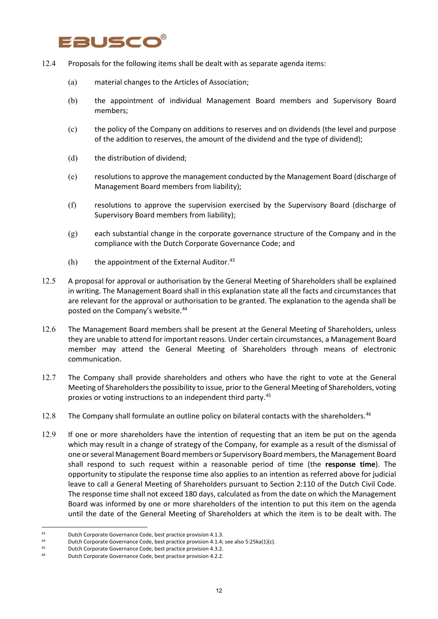# **ausc**o

- 12.4 Proposals for the following items shall be dealt with as separate agenda items:
	- (a) material changes to the Articles of Association;
	- (b) the appointment of individual Management Board members and Supervisory Board members;
	- (c) the policy of the Company on additions to reserves and on dividends (the level and purpose of the addition to reserves, the amount of the dividend and the type of dividend);
	- (d) the distribution of dividend;
	- (e) resolutions to approve the management conducted by the Management Board (discharge of Management Board members from liability);
	- (f) resolutions to approve the supervision exercised by the Supervisory Board (discharge of Supervisory Board members from liability);
	- (g) each substantial change in the corporate governance structure of the Company and in the compliance with the Dutch Corporate Governance Code; and
	- $(h)$  the appointment of the External Auditor.<sup>[43](#page-11-0)</sup>
- 12.5 A proposal for approval or authorisation by the General Meeting of Shareholders shall be explained in writing. The Management Board shall in this explanation state all the facts and circumstances that are relevant for the approval or authorisation to be granted. The explanation to the agenda shall be posted on the Company's website.[44](#page-11-1)
- 12.6 The Management Board members shall be present at the General Meeting of Shareholders, unless they are unable to attend for important reasons. Under certain circumstances, a Management Board member may attend the General Meeting of Shareholders through means of electronic communication.
- 12.7 The Company shall provide shareholders and others who have the right to vote at the General Meeting of Shareholders the possibility to issue, prior to the General Meeting of Shareholders, voting proxies or voting instructions to an independent third party.<sup>[45](#page-11-2)</sup>
- 12.8 The Company shall formulate an outline policy on bilateral contacts with the shareholders.<sup>[46](#page-11-3)</sup>
- 12.9 If one or more shareholders have the intention of requesting that an item be put on the agenda which may result in a change of strategy of the Company, for example as a result of the dismissal of one or several Management Board members or Supervisory Board members, the Management Board shall respond to such request within a reasonable period of time (the **response time**). The opportunity to stipulate the response time also applies to an intention as referred above for judicial leave to call a General Meeting of Shareholders pursuant to Section 2:110 of the Dutch Civil Code. The response time shall not exceed 180 days, calculated as from the date on which the Management Board was informed by one or more shareholders of the intention to put this item on the agenda until the date of the General Meeting of Shareholders at which the item is to be dealt with. The

<span id="page-11-0"></span><sup>43</sup> Dutch Corporate Governance Code, best practice provision 4.1.3.<br>44 Dutch Corporate Governance Code, best practice provision 4.1.4:

<span id="page-11-1"></span>Dutch Corporate Governance Code, best practice provision 4.1.4; see also 5:25ka(1)(c).

<span id="page-11-2"></span><sup>45</sup> Dutch Corporate Governance Code, best practice provision 4.3.2.<br>46 Dutch Corporate Covernance Code, best practice provision 4.2.2.

<span id="page-11-3"></span>Dutch Corporate Governance Code, best practice provision 4.2.2.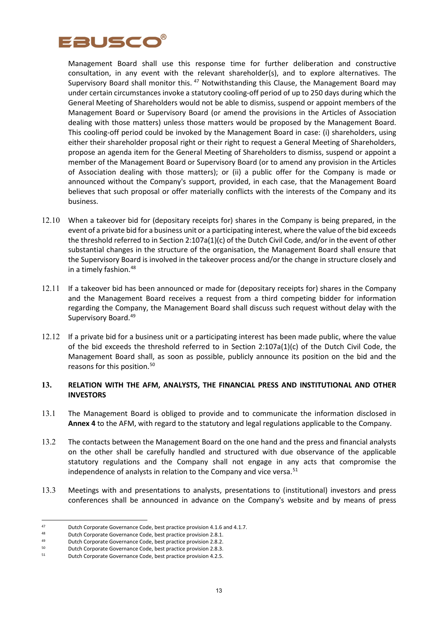

Management Board shall use this response time for further deliberation and constructive consultation, in any event with the relevant shareholder(s), and to explore alternatives. The Supervisory Board shall monitor this. <sup>[47](#page-12-0)</sup> Notwithstanding this Clause, the Management Board may under certain circumstances invoke a statutory cooling-off period of up to 250 days during which the General Meeting of Shareholders would not be able to dismiss, suspend or appoint members of the Management Board or Supervisory Board (or amend the provisions in the Articles of Association dealing with those matters) unless those matters would be proposed by the Management Board. This cooling-off period could be invoked by the Management Board in case: (i) shareholders, using either their shareholder proposal right or their right to request a General Meeting of Shareholders, propose an agenda item for the General Meeting of Shareholders to dismiss, suspend or appoint a member of the Management Board or Supervisory Board (or to amend any provision in the Articles of Association dealing with those matters); or (ii) a public offer for the Company is made or announced without the Company's support, provided, in each case, that the Management Board believes that such proposal or offer materially conflicts with the interests of the Company and its business.

- 12.10 When a takeover bid for (depositary receipts for) shares in the Company is being prepared, in the event of a private bid for a business unit or a participating interest, where the value of the bid exceeds the threshold referred to in Section 2:107a(1)(c) of the Dutch Civil Code, and/or in the event of other substantial changes in the structure of the organisation, the Management Board shall ensure that the Supervisory Board is involved in the takeover process and/or the change in structure closely and in a timely fashion. [48](#page-12-1)
- 12.11 If a takeover bid has been announced or made for (depositary receipts for) shares in the Company and the Management Board receives a request from a third competing bidder for information regarding the Company, the Management Board shall discuss such request without delay with the Supervisory Board[.49](#page-12-2)
- 12.12 If a private bid for a business unit or a participating interest has been made public, where the value of the bid exceeds the threshold referred to in Section 2:107a(1)(c) of the Dutch Civil Code, the Management Board shall, as soon as possible, publicly announce its position on the bid and the reasons for this position.<sup>[50](#page-12-3)</sup>

### **13. RELATION WITH THE AFM, ANALYSTS, THE FINANCIAL PRESS AND INSTITUTIONAL AND OTHER INVESTORS**

- 13.1 The Management Board is obliged to provide and to communicate the information disclosed in **Annex 4** to the AFM, with regard to the statutory and legal regulations applicable to the Company.
- 13.2 The contacts between the Management Board on the one hand and the press and financial analysts on the other shall be carefully handled and structured with due observance of the applicable statutory regulations and the Company shall not engage in any acts that compromise the independence of analysts in relation to the Company and vice versa.<sup>[51](#page-12-4)</sup>
- 13.3 Meetings with and presentations to analysts, presentations to (institutional) investors and press conferences shall be announced in advance on the Company's website and by means of press

<span id="page-12-0"></span><sup>47</sup> Dutch Corporate Governance Code, best practice provision 4.1.6 and 4.1.7.<br>48 Dutch Corporate Covernance Code, best practice provision 3.8.1

<span id="page-12-1"></span><sup>48</sup> Dutch Corporate Governance Code, best practice provision 2.8.1.<br>49 Dutch Corporate Governance Code, best practice provision 2.8.2.

<span id="page-12-2"></span>Dutch Corporate Governance Code, best practice provision 2.8.2.

<span id="page-12-3"></span><sup>&</sup>lt;sup>50</sup> Dutch Corporate Governance Code, best practice provision 2.8.3.<br><sup>51</sup> Dutch Corporate Governance Code, best practice provision 4.2.5.

<span id="page-12-4"></span>Dutch Corporate Governance Code, best practice provision 4.2.5.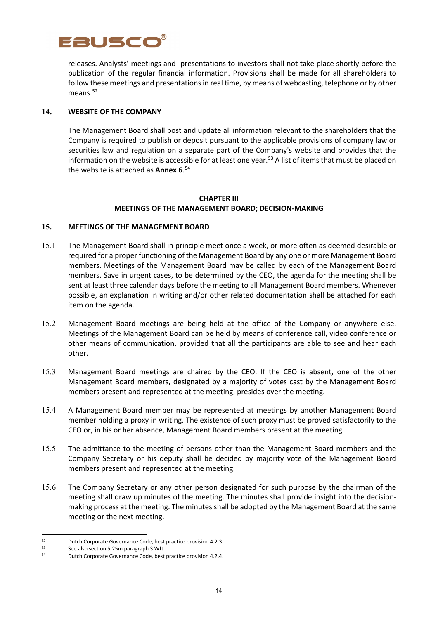

releases. Analysts' meetings and -presentations to investors shall not take place shortly before the publication of the regular financial information. Provisions shall be made for all shareholders to follow these meetings and presentations in real time, by means of webcasting, telephone or by other means.<sup>[52](#page-13-0)</sup>

### **14. WEBSITE OF THE COMPANY**

The Management Board shall post and update all information relevant to the shareholders that the Company is required to publish or deposit pursuant to the applicable provisions of company law or securities law and regulation on a separate part of the Company's website and provides that the information on the website is accessible for at least one year.<sup>[53](#page-13-1)</sup> A list of items that must be placed on the website is attached as **Annex 6**. [54](#page-13-2)

### **CHAPTER III MEETINGS OF THE MANAGEMENT BOARD; DECISION-MAKING**

### **15. MEETINGS OF THE MANAGEMENT BOARD**

- 15.1 The Management Board shall in principle meet once a week, or more often as deemed desirable or required for a proper functioning of the Management Board by any one or more Management Board members. Meetings of the Management Board may be called by each of the Management Board members. Save in urgent cases, to be determined by the CEO, the agenda for the meeting shall be sent at least three calendar days before the meeting to all Management Board members. Whenever possible, an explanation in writing and/or other related documentation shall be attached for each item on the agenda.
- 15.2 Management Board meetings are being held at the office of the Company or anywhere else. Meetings of the Management Board can be held by means of conference call, video conference or other means of communication, provided that all the participants are able to see and hear each other.
- 15.3 Management Board meetings are chaired by the CEO. If the CEO is absent, one of the other Management Board members, designated by a majority of votes cast by the Management Board members present and represented at the meeting, presides over the meeting.
- 15.4 A Management Board member may be represented at meetings by another Management Board member holding a proxy in writing. The existence of such proxy must be proved satisfactorily to the CEO or, in his or her absence, Management Board members present at the meeting.
- 15.5 The admittance to the meeting of persons other than the Management Board members and the Company Secretary or his deputy shall be decided by majority vote of the Management Board members present and represented at the meeting.
- 15.6 The Company Secretary or any other person designated for such purpose by the chairman of the meeting shall draw up minutes of the meeting. The minutes shall provide insight into the decisionmaking process at the meeting. The minutes shall be adopted by the Management Board at the same meeting or the next meeting.

<span id="page-13-0"></span><sup>52</sup> Dutch Corporate Governance Code, best practice provision 4.2.3.

<span id="page-13-2"></span><span id="page-13-1"></span><sup>53</sup> See also section 5:25m paragraph 3 Wft.<br>
54 Dutch Corporate Governance Code, best practice provision 4.2.4.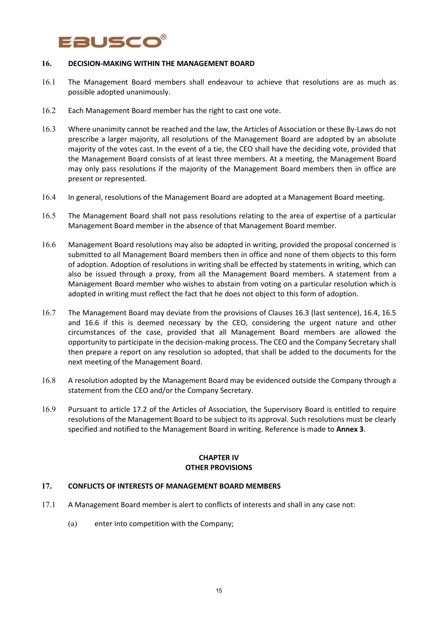# Eausco

#### **16. DECISION-MAKING WITHIN THE MANAGEMENT BOARD**

- 16.1 The Management Board members shall endeavour to achieve that resolutions are as much as possible adopted unanimously.
- 16.2 Each Management Board member has the right to cast one vote.
- 16.3 Where unanimity cannot be reached and the law, the Articles of Association or these By-Laws do not prescribe a larger majority, all resolutions of the Management Board are adopted by an absolute majority of the votes cast. In the event of a tie, the CEO shall have the deciding vote, provided that the Management Board consists of at least three members. At a meeting, the Management Board may only pass resolutions if the majority of the Management Board members then in office are present or represented.
- 16.4 In general, resolutions of the Management Board are adopted at a Management Board meeting.
- 16.5 The Management Board shall not pass resolutions relating to the area of expertise of a particular Management Board member in the absence of that Management Board member.
- 16.6 Management Board resolutions may also be adopted in writing, provided the proposal concerned is submitted to all Management Board members then in office and none of them objects to this form of adoption. Adoption of resolutions in writing shall be effected by statements in writing, which can also be issued through a proxy, from all the Management Board members. A statement from a Management Board member who wishes to abstain from voting on a particular resolution which is adopted in writing must reflect the fact that he does not object to this form of adoption.
- 16.7 The Management Board may deviate from the provisions of Clauses 16.3 (last sentence), 16.4, 16.5 and 16.6 if this is deemed necessary by the CEO, considering the urgent nature and other circumstances of the case, provided that all Management Board members are allowed the opportunity to participate in the decision-making process. The CEO and the Company Secretary shall then prepare a report on any resolution so adopted, that shall be added to the documents for the next meeting of the Management Board.
- 16.8 A resolution adopted by the Management Board may be evidenced outside the Company through a statement from the CEO and/or the Company Secretary.
- 16.9 Pursuant to article 17.2 of the Articles of Association, the Supervisory Board is entitled to require resolutions of the Management Board to be subject to its approval. Such resolutions must be clearly specified and notified to the Management Board in writing. Reference is made to **Annex 3**.

#### **CHAPTER IV OTHER PROVISIONS**

### **17. CONFLICTS OF INTERESTS OF MANAGEMENT BOARD MEMBERS**

- 17.1 A Management Board member is alert to conflicts of interests and shall in any case not:
	- (a) enter into competition with the Company;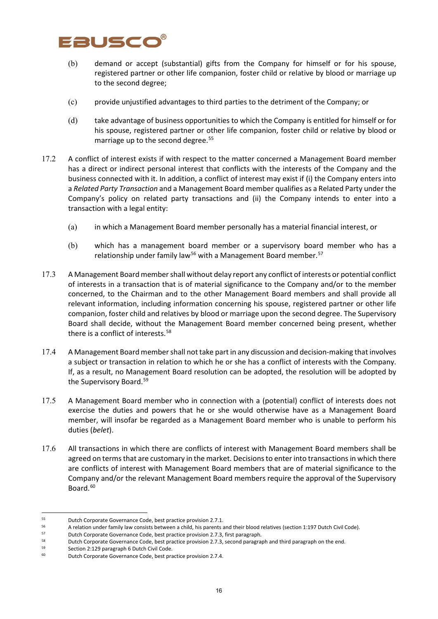# Fausco

- (b) demand or accept (substantial) gifts from the Company for himself or for his spouse, registered partner or other life companion, foster child or relative by blood or marriage up to the second degree;
- (c) provide unjustified advantages to third parties to the detriment of the Company; or
- (d) take advantage of business opportunities to which the Company is entitled for himself or for his spouse, registered partner or other life companion, foster child or relative by blood or marriage up to the second degree.<sup>[55](#page-15-0)</sup>
- 17.2 A conflict of interest exists if with respect to the matter concerned a Management Board member has a direct or indirect personal interest that conflicts with the interests of the Company and the business connected with it. In addition, a conflict of interest may exist if (i) the Company enters into a *Related Party Transaction* and a Management Board member qualifies as a Related Party under the Company's policy on related party transactions and (ii) the Company intends to enter into a transaction with a legal entity:
	- (a) in which a Management Board member personally has a material financial interest, or
	- (b) which has a management board member or a supervisory board member who has a relationship under family law<sup>[56](#page-15-1)</sup> with a Management Board member.<sup>[57](#page-15-2)</sup>
- 17.3 A Management Board member shall without delay report any conflict of interests or potential conflict of interests in a transaction that is of material significance to the Company and/or to the member concerned, to the Chairman and to the other Management Board members and shall provide all relevant information, including information concerning his spouse, registered partner or other life companion, foster child and relatives by blood or marriage upon the second degree. The Supervisory Board shall decide, without the Management Board member concerned being present, whether there is a conflict of interests.<sup>[58](#page-15-3)</sup>
- 17.4 A Management Board member shall not take part in any discussion and decision-making that involves a subject or transaction in relation to which he or she has a conflict of interests with the Company. If, as a result, no Management Board resolution can be adopted, the resolution will be adopted by the Supervisory Board.<sup>[59](#page-15-4)</sup>
- 17.5 A Management Board member who in connection with a (potential) conflict of interests does not exercise the duties and powers that he or she would otherwise have as a Management Board member, will insofar be regarded as a Management Board member who is unable to perform his duties (*belet*).
- 17.6 All transactions in which there are conflicts of interest with Management Board members shall be agreed on terms that are customary in the market. Decisions to enter into transactions in which there are conflicts of interest with Management Board members that are of material significance to the Company and/or the relevant Management Board members require the approval of the Supervisory Board.<sup>[60](#page-15-5)</sup>

<span id="page-15-0"></span><sup>&</sup>lt;sup>55</sup> Dutch Corporate Governance Code, best practice provision 2.7.1.<br> $\frac{56}{2}$  A relation under family law consists between a child, bis parents a

<span id="page-15-1"></span><sup>&</sup>lt;sup>56</sup> A relation under family law consists between a child, his parents and their blood relatives (section 1:197 Dutch Civil Code).<br><sup>57</sup> Putch Corporate Covernage Code, best prestise arguisies 2.7.2 first personant.

<span id="page-15-2"></span><sup>&</sup>lt;sup>57</sup> Dutch Corporate Governance Code, best practice provision 2.7.3, first paragraph.<br><sup>58</sup> Dutch Corporate Governance Code, best practice provision 2.7.3, second paragra

<span id="page-15-3"></span><sup>58</sup> Dutch Corporate Governance Code, best practice provision 2.7.3, second paragraph and third paragraph on the end.

<span id="page-15-5"></span><span id="page-15-4"></span><sup>59</sup> Section 2:129 paragraph 6 Dutch Civil Code.<br>
60 Dutch Corporate Governance Code, best practice provision 2.7.4.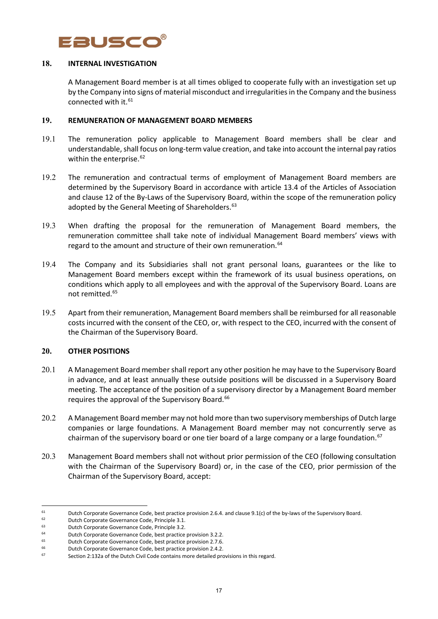

#### **18. INTERNAL INVESTIGATION**

A Management Board member is at all times obliged to cooperate fully with an investigation set up by the Company into signs of material misconduct and irregularities in the Company and the business connected with it. [61](#page-16-0)

#### **19. REMUNERATION OF MANAGEMENT BOARD MEMBERS**

- 19.1 The remuneration policy applicable to Management Board members shall be clear and understandable, shall focus on long-term value creation, and take into account the internal pay ratios within the enterprise.<sup>[62](#page-16-1)</sup>
- 19.2 The remuneration and contractual terms of employment of Management Board members are determined by the Supervisory Board in accordance with article 13.4 of the Articles of Association and clause 12 of the By-Laws of the Supervisory Board, within the scope of the remuneration policy adopted by the General Meeting of Shareholders.<sup>[63](#page-16-2)</sup>
- 19.3 When drafting the proposal for the remuneration of Management Board members, the remuneration committee shall take note of individual Management Board members' views with regard to the amount and structure of their own remuneration.<sup>[64](#page-16-3)</sup>
- 19.4 The Company and its Subsidiaries shall not grant personal loans, guarantees or the like to Management Board members except within the framework of its usual business operations, on conditions which apply to all employees and with the approval of the Supervisory Board. Loans are not remitted.[65](#page-16-4)
- 19.5 Apart from their remuneration, Management Board members shall be reimbursed for all reasonable costs incurred with the consent of the CEO, or, with respect to the CEO, incurred with the consent of the Chairman of the Supervisory Board.

### **20. OTHER POSITIONS**

- 20.1 A Management Board member shall report any other position he may have to the Supervisory Board in advance, and at least annually these outside positions will be discussed in a Supervisory Board meeting. The acceptance of the position of a supervisory director by a Management Board member requires the approval of the Supervisory Board.<sup>[66](#page-16-5)</sup>
- 20.2 A Management Board member may not hold more than two supervisory memberships of Dutch large companies or large foundations. A Management Board member may not concurrently serve as chairman of the supervisory board or one tier board of a large company or a large foundation.<sup>[67](#page-16-6)</sup>
- 20.3 Management Board members shall not without prior permission of the CEO (following consultation with the Chairman of the Supervisory Board) or, in the case of the CEO, prior permission of the Chairman of the Supervisory Board, accept:

<span id="page-16-0"></span><sup>61</sup> Dutch Corporate Governance Code, best practice provision 2.6.4. and clause 9.1(c) of the by-laws of the Supervisory Board.<br>
Dutch Corporate Governance Code, Principle 3.1.<br>
Dutch Corporate Governance Code, Principle 3.

<span id="page-16-1"></span>

<span id="page-16-2"></span><sup>63</sup> Dutch Corporate Governance Code, Principle 3.2.

<span id="page-16-3"></span><sup>&</sup>lt;sup>64</sup> Dutch Corporate Governance Code, best practice provision 3.2.2.<br><sup>65</sup> Dutch Corporate Governance Code, best practice provision 2.7.6

<sup>65</sup> Dutch Corporate Governance Code, best practice provision 2.7.6.

<span id="page-16-5"></span><span id="page-16-4"></span><sup>66</sup> Dutch Corporate Governance Code, best practice provision 2.4.2.

<span id="page-16-6"></span>Section 2:132a of the Dutch Civil Code contains more detailed provisions in this regard.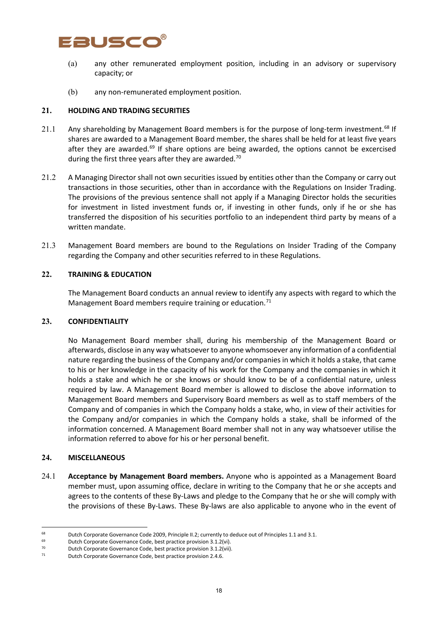

- (a) any other remunerated employment position, including in an advisory or supervisory capacity; or
- (b) any non-remunerated employment position.

### **21. HOLDING AND TRADING SECURITIES**

- 21.1 Any shareholding by Management Board members is for the purpose of long-term investment.<sup>[68](#page-17-0)</sup> If shares are awarded to a Management Board member, the shares shall be held for at least five years after they are awarded.<sup>[69](#page-17-1)</sup> If share options are being awarded, the options cannot be excercised during the first three years after they are awarded.<sup>[70](#page-17-2)</sup>
- 21.2 A Managing Director shall not own securities issued by entities other than the Company or carry out transactions in those securities, other than in accordance with the Regulations on Insider Trading. The provisions of the previous sentence shall not apply if a Managing Director holds the securities for investment in listed investment funds or, if investing in other funds, only if he or she has transferred the disposition of his securities portfolio to an independent third party by means of a written mandate.
- 21.3 Management Board members are bound to the Regulations on Insider Trading of the Company regarding the Company and other securities referred to in these Regulations.

#### **22. TRAINING & EDUCATION**

The Management Board conducts an annual review to identify any aspects with regard to which the Management Board members require training or education.<sup>[71](#page-17-3)</sup>

#### **23. CONFIDENTIALITY**

No Management Board member shall, during his membership of the Management Board or afterwards, disclose in any way whatsoever to anyone whomsoever any information of a confidential nature regarding the business of the Company and/or companies in which it holds a stake, that came to his or her knowledge in the capacity of his work for the Company and the companies in which it holds a stake and which he or she knows or should know to be of a confidential nature, unless required by law. A Management Board member is allowed to disclose the above information to Management Board members and Supervisory Board members as well as to staff members of the Company and of companies in which the Company holds a stake, who, in view of their activities for the Company and/or companies in which the Company holds a stake, shall be informed of the information concerned. A Management Board member shall not in any way whatsoever utilise the information referred to above for his or her personal benefit.

#### **24. MISCELLANEOUS**

24.1 **Acceptance by Management Board members.** Anyone who is appointed as a Management Board member must, upon assuming office, declare in writing to the Company that he or she accepts and agrees to the contents of these By-Laws and pledge to the Company that he or she will comply with the provisions of these By-Laws. These By-laws are also applicable to anyone who in the event of

<span id="page-17-0"></span><sup>&</sup>lt;sup>68</sup> Dutch Corporate Governance Code 2009, Principle II.2; currently to deduce out of Principles 1.1 and 3.1.<br><sup>69</sup> Dutch Corporate Governance Code, best practice provision 3.1.2/vil

<span id="page-17-1"></span>Dutch Corporate Governance Code, best practice provision 3.1.2(vi).

<span id="page-17-2"></span><sup>70</sup> Dutch Corporate Governance Code, best practice provision  $3.1.2$ (vii).<br> $71$  Dutch Corporate Governance Code, best practice provision  $3.4.6$ 

<span id="page-17-3"></span>Dutch Corporate Governance Code, best practice provision 2.4.6.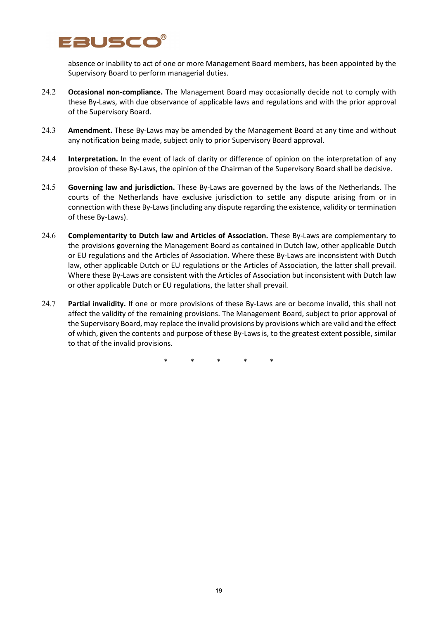

absence or inability to act of one or more Management Board members, has been appointed by the Supervisory Board to perform managerial duties.

- 24.2 **Occasional non-compliance.** The Management Board may occasionally decide not to comply with these By-Laws, with due observance of applicable laws and regulations and with the prior approval of the Supervisory Board.
- 24.3 **Amendment.** These By-Laws may be amended by the Management Board at any time and without any notification being made, subject only to prior Supervisory Board approval.
- 24.4 **Interpretation.** In the event of lack of clarity or difference of opinion on the interpretation of any provision of these By-Laws, the opinion of the Chairman of the Supervisory Board shall be decisive.
- 24.5 **Governing law and jurisdiction.** These By-Laws are governed by the laws of the Netherlands. The courts of the Netherlands have exclusive jurisdiction to settle any dispute arising from or in connection with these By-Laws (including any dispute regarding the existence, validity or termination of these By-Laws).
- 24.6 **Complementarity to Dutch law and Articles of Association.** These By-Laws are complementary to the provisions governing the Management Board as contained in Dutch law, other applicable Dutch or EU regulations and the Articles of Association. Where these By-Laws are inconsistent with Dutch law, other applicable Dutch or EU regulations or the Articles of Association, the latter shall prevail. Where these By-Laws are consistent with the Articles of Association but inconsistent with Dutch law or other applicable Dutch or EU regulations, the latter shall prevail.
- 24.7 **Partial invalidity.** If one or more provisions of these By-Laws are or become invalid, this shall not affect the validity of the remaining provisions. The Management Board, subject to prior approval of the Supervisory Board, may replace the invalid provisions by provisions which are valid and the effect of which, given the contents and purpose of these By-Laws is, to the greatest extent possible, similar to that of the invalid provisions.

\* \* \* \* \*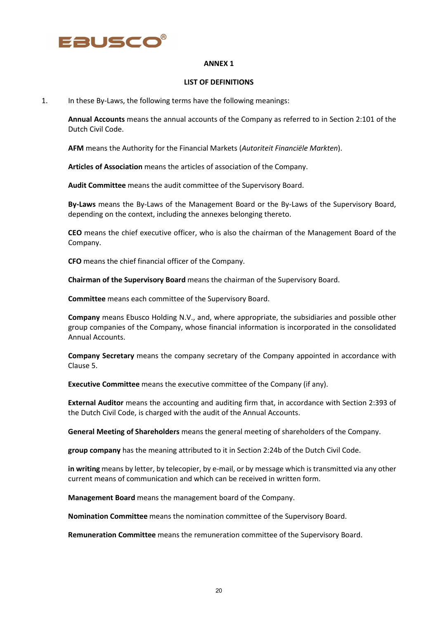

#### **ANNEX 1**

#### **LIST OF DEFINITIONS**

1. In these By-Laws, the following terms have the following meanings:

**Annual Accounts** means the annual accounts of the Company as referred to in Section 2:101 of the Dutch Civil Code.

**AFM** means the Authority for the Financial Markets (*Autoriteit Financiële Markten*).

**Articles of Association** means the articles of association of the Company.

**Audit Committee** means the audit committee of the Supervisory Board.

**By-Laws** means the By-Laws of the Management Board or the By-Laws of the Supervisory Board, depending on the context, including the annexes belonging thereto.

**CEO** means the chief executive officer, who is also the chairman of the Management Board of the Company.

**CFO** means the chief financial officer of the Company.

**Chairman of the Supervisory Board** means the chairman of the Supervisory Board.

**Committee** means each committee of the Supervisory Board.

**Company** means Ebusco Holding N.V., and, where appropriate, the subsidiaries and possible other group companies of the Company, whose financial information is incorporated in the consolidated Annual Accounts.

**Company Secretary** means the company secretary of the Company appointed in accordance with Clause 5.

**Executive Committee** means the executive committee of the Company (if any).

**External Auditor** means the accounting and auditing firm that, in accordance with Section 2:393 of the Dutch Civil Code, is charged with the audit of the Annual Accounts.

**General Meeting of Shareholders** means the general meeting of shareholders of the Company.

**group company** has the meaning attributed to it in Section 2:24b of the Dutch Civil Code.

**in writing** means by letter, by telecopier, by e-mail, or by message which is transmitted via any other current means of communication and which can be received in written form.

**Management Board** means the management board of the Company.

**Nomination Committee** means the nomination committee of the Supervisory Board.

**Remuneration Committee** means the remuneration committee of the Supervisory Board.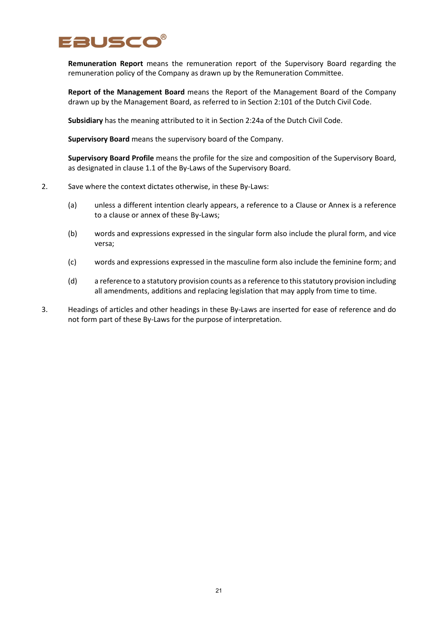

**Remuneration Report** means the remuneration report of the Supervisory Board regarding the remuneration policy of the Company as drawn up by the Remuneration Committee.

**Report of the Management Board** means the Report of the Management Board of the Company drawn up by the Management Board, as referred to in Section 2:101 of the Dutch Civil Code.

**Subsidiary** has the meaning attributed to it in Section 2:24a of the Dutch Civil Code.

**Supervisory Board** means the supervisory board of the Company.

**Supervisory Board Profile** means the profile for the size and composition of the Supervisory Board, as designated in clause 1.1 of the By-Laws of the Supervisory Board.

- 2. Save where the context dictates otherwise, in these By-Laws:
	- (a) unless a different intention clearly appears, a reference to a Clause or Annex is a reference to a clause or annex of these By-Laws;
	- (b) words and expressions expressed in the singular form also include the plural form, and vice versa;
	- (c) words and expressions expressed in the masculine form also include the feminine form; and
	- (d) a reference to a statutory provision counts as a reference to this statutory provision including all amendments, additions and replacing legislation that may apply from time to time.
- 3. Headings of articles and other headings in these By-Laws are inserted for ease of reference and do not form part of these By-Laws for the purpose of interpretation.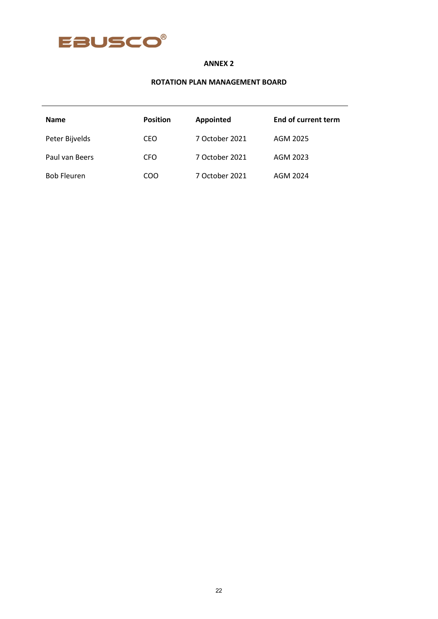

# **ANNEX 2**

### **ROTATION PLAN MANAGEMENT BOARD**

| <b>Name</b>        | <b>Position</b> | Appointed      | <b>End of current term</b> |
|--------------------|-----------------|----------------|----------------------------|
| Peter Bijvelds     | CEO             | 7 October 2021 | AGM 2025                   |
| Paul van Beers     | CFO             | 7 October 2021 | AGM 2023                   |
| <b>Bob Fleuren</b> | COO             | 7 October 2021 | AGM 2024                   |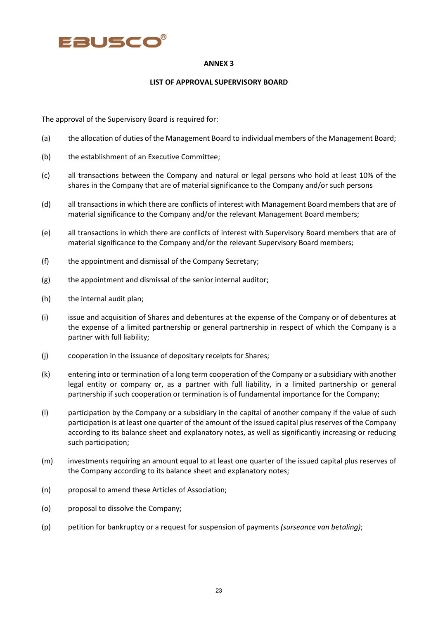

#### **ANNEX 3**

#### **LIST OF APPROVAL SUPERVISORY BOARD**

The approval of the Supervisory Board is required for:

- (a) the allocation of duties of the Management Board to individual members of the Management Board;
- (b) the establishment of an Executive Committee;
- (c) all transactions between the Company and natural or legal persons who hold at least 10% of the shares in the Company that are of material significance to the Company and/or such persons
- (d) all transactions in which there are conflicts of interest with Management Board members that are of material significance to the Company and/or the relevant Management Board members;
- (e) all transactions in which there are conflicts of interest with Supervisory Board members that are of material significance to the Company and/or the relevant Supervisory Board members;
- (f) the appointment and dismissal of the Company Secretary;
- (g) the appointment and dismissal of the senior internal auditor;
- (h) the internal audit plan;
- (i) issue and acquisition of Shares and debentures at the expense of the Company or of debentures at the expense of a limited partnership or general partnership in respect of which the Company is a partner with full liability;
- (j) cooperation in the issuance of depositary receipts for Shares;
- (k) entering into or termination of a long term cooperation of the Company or a subsidiary with another legal entity or company or, as a partner with full liability, in a limited partnership or general partnership if such cooperation or termination is of fundamental importance for the Company;
- (l) participation by the Company or a subsidiary in the capital of another company if the value of such participation is at least one quarter of the amount of the issued capital plus reserves of the Company according to its balance sheet and explanatory notes, as well as significantly increasing or reducing such participation;
- (m) investments requiring an amount equal to at least one quarter of the issued capital plus reserves of the Company according to its balance sheet and explanatory notes;
- (n) proposal to amend these Articles of Association;
- (o) proposal to dissolve the Company;
- (p) petition for bankruptcy or a request for suspension of payments *(surseance van betaling)*;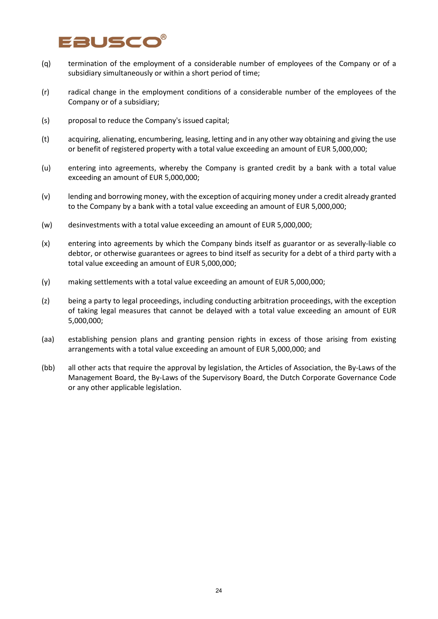# Eauscc

- (q) termination of the employment of a considerable number of employees of the Company or of a subsidiary simultaneously or within a short period of time;
- (r) radical change in the employment conditions of a considerable number of the employees of the Company or of a subsidiary;
- (s) proposal to reduce the Company's issued capital;
- (t) acquiring, alienating, encumbering, leasing, letting and in any other way obtaining and giving the use or benefit of registered property with a total value exceeding an amount of EUR 5,000,000;
- (u) entering into agreements, whereby the Company is granted credit by a bank with a total value exceeding an amount of EUR 5,000,000;
- (v) lending and borrowing money, with the exception of acquiring money under a credit already granted to the Company by a bank with a total value exceeding an amount of EUR 5,000,000;
- (w) desinvestments with a total value exceeding an amount of EUR 5,000,000;
- (x) entering into agreements by which the Company binds itself as guarantor or as severally-liable co debtor, or otherwise guarantees or agrees to bind itself as security for a debt of a third party with a total value exceeding an amount of EUR 5,000,000;
- (y) making settlements with a total value exceeding an amount of EUR 5,000,000;
- (z) being a party to legal proceedings, including conducting arbitration proceedings, with the exception of taking legal measures that cannot be delayed with a total value exceeding an amount of EUR 5,000,000;
- (aa) establishing pension plans and granting pension rights in excess of those arising from existing arrangements with a total value exceeding an amount of EUR 5,000,000; and
- (bb) all other acts that require the approval by legislation, the Articles of Association, the By-Laws of the Management Board, the By-Laws of the Supervisory Board, the Dutch Corporate Governance Code or any other applicable legislation.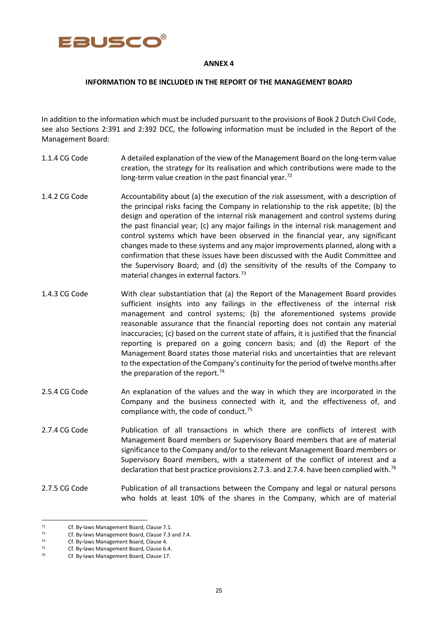

#### **ANNEX 4**

#### **INFORMATION TO BE INCLUDED IN THE REPORT OF THE MANAGEMENT BOARD**

In addition to the information which must be included pursuant to the provisions of Book 2 Dutch Civil Code, see also Sections 2:391 and 2:392 DCC, the following information must be included in the Report of the Management Board:

- 1.1.4 CG Code A detailed explanation of the view of the Management Board on the long-term value creation, the strategy for its realisation and which contributions were made to the long-term value creation in the past financial year.<sup>[72](#page-24-0)</sup>
- 1.4.2 CG Code Accountability about (a) the execution of the risk assessment, with a description of the principal risks facing the Company in relationship to the risk appetite; (b) the design and operation of the internal risk management and control systems during the past financial year; (c) any major failings in the internal risk management and control systems which have been observed in the financial year, any significant changes made to these systems and any major improvements planned, along with a confirmation that these issues have been discussed with the Audit Committee and the Supervisory Board; and (d) the sensitivity of the results of the Company to material changes in external factors.<sup>[73](#page-24-1)</sup>
- 1.4.3 CG Code With clear substantiation that (a) the Report of the Management Board provides sufficient insights into any failings in the effectiveness of the internal risk management and control systems; (b) the aforementioned systems provide reasonable assurance that the financial reporting does not contain any material inaccuracies; (c) based on the current state of affairs, it is justified that the financial reporting is prepared on a going concern basis; and (d) the Report of the Management Board states those material risks and uncertainties that are relevant to the expectation of the Company's continuity for the period of twelve months after the preparation of the report.<sup>[74](#page-24-2)</sup>
- 2.5.4 CG Code An explanation of the values and the way in which they are incorporated in the Company and the business connected with it, and the effectiveness of, and compliance with, the code of conduct.<sup>[75](#page-24-3)</sup>
- 2.7.4 CG Code Publication of all transactions in which there are conflicts of interest with Management Board members or Supervisory Board members that are of material significance to the Company and/or to the relevant Management Board members or Supervisory Board members, with a statement of the conflict of interest and a declaration that best practice provisions 2.7.3. and 2.7.4. have been complied with.<sup>[76](#page-24-4)</sup>
- 2.7.5 CG Code Publication of all transactions between the Company and legal or natural persons who holds at least 10% of the shares in the Company, which are of material

<span id="page-24-0"></span> $72$  Cf. By-laws Management Board, Clause 7.1.

<span id="page-24-1"></span> $73$  Cf. By-laws Management Board, Clause 7.3 and 7.4.<br> $74$  Cf. By-laws Management Board, Clause 4.

<span id="page-24-2"></span>Cf. By-laws Management Board, Clause 4.

<span id="page-24-3"></span><sup>&</sup>lt;sup>75</sup> Cf. By-laws Management Board, Clause 6.4.<br><sup>76</sup> Cf. By-laws Management Board, Clause 17

<span id="page-24-4"></span>Cf. By-laws Management Board, Clause 17.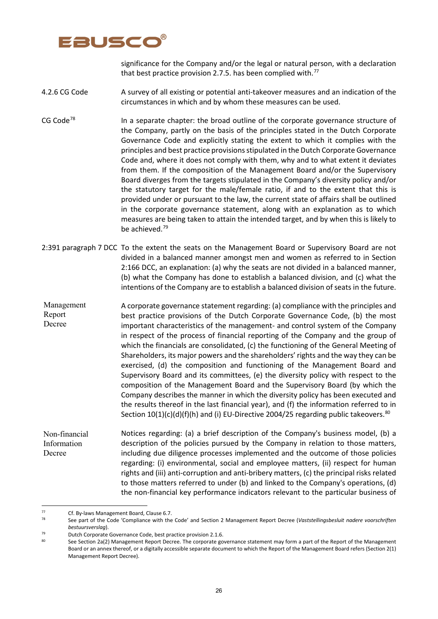

significance for the Company and/or the legal or natural person, with a declaration that best practice provision 2.7.5. has been complied with.<sup>[77](#page-25-0)</sup>

4.2.6 CG Code A survey of all existing or potential anti-takeover measures and an indication of the circumstances in which and by whom these measures can be used.

CG Code<sup>[78](#page-25-1)</sup> In a separate chapter: the broad outline of the corporate governance structure of the Company, partly on the basis of the principles stated in the Dutch Corporate Governance Code and explicitly stating the extent to which it complies with the principles and best practice provisions stipulated in the Dutch Corporate Governance Code and, where it does not comply with them, why and to what extent it deviates from them. If the composition of the Management Board and/or the Supervisory Board diverges from the targets stipulated in the Company's diversity policy and/or the statutory target for the male/female ratio, if and to the extent that this is provided under or pursuant to the law, the current state of affairs shall be outlined in the corporate governance statement, along with an explanation as to which measures are being taken to attain the intended target, and by when this is likely to be achieved.<sup>[79](#page-25-2)</sup>

- 2:391 paragraph 7 DCC To the extent the seats on the Management Board or Supervisory Board are not divided in a balanced manner amongst men and women as referred to in Section 2:166 DCC, an explanation: (a) why the seats are not divided in a balanced manner, (b) what the Company has done to establish a balanced division, and (c) what the intentions of the Company are to establish a balanced division of seats in the future.
- A corporate governance statement regarding: (a) compliance with the principles and best practice provisions of the Dutch Corporate Governance Code, (b) the most important characteristics of the management- and control system of the Company in respect of the process of financial reporting of the Company and the group of which the financials are consolidated, (c) the functioning of the General Meeting of Shareholders, its major powers and the shareholders' rights and the way they can be exercised, (d) the composition and functioning of the Management Board and Supervisory Board and its committees, (e) the diversity policy with respect to the composition of the Management Board and the Supervisory Board (by which the Company describes the manner in which the diversity policy has been executed and the results thereof in the last financial year), and (f) the information referred to in Section  $10(1)(c)(d)(f)(h)$  and (i) EU-Directive 2004/25 regarding public takeovers.<sup>[80](#page-25-3)</sup> Management Report Decree

Notices regarding: (a) a brief description of the Company's business model, (b) a description of the policies pursued by the Company in relation to those matters, including due diligence processes implemented and the outcome of those policies regarding: (i) environmental, social and employee matters, (ii) respect for human rights and (iii) anti-corruption and anti-bribery matters, (c) the principal risks related to those matters referred to under (b) and linked to the Company's operations, (d) the non-financial key performance indicators relevant to the particular business of Non-financial Information Decree

<span id="page-25-0"></span><sup>&</sup>lt;sup>77</sup> Cf. By-laws Management Board, Clause 6.7.<br><sup>78</sup> See part of the Code 'Compliance with the

<span id="page-25-1"></span><sup>78</sup> See part of the Code 'Compliance with the Code' and Section 2 Management Report Decree (*Vaststellingsbesluit nadere voorschriften bestuursverslag*).

<span id="page-25-2"></span><sup>79</sup> Dutch Corporate Governance Code, best practice provision 2.1.6.<br>80 Seco Section 22(2) Management Penert Decree, The corporate gove

<span id="page-25-3"></span>See Section 2a(2) Management Report Decree. The corporate governance statement may form a part of the Report of the Management Board or an annex thereof, or a digitally accessible separate document to which the Report of the Management Board refers (Section 2(1) Management Report Decree).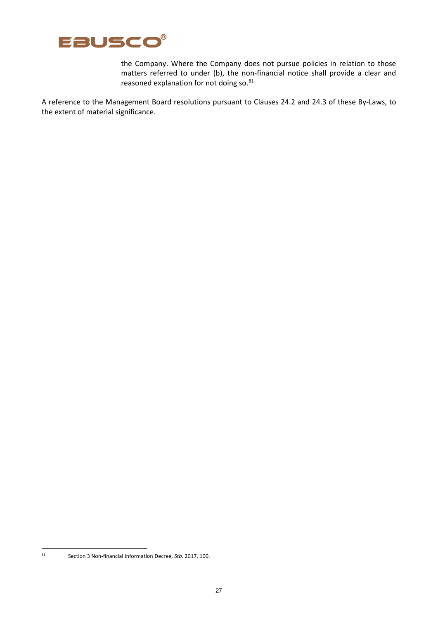

the Company. Where the Company does not pursue policies in relation to those matters referred to under (b), the non-financial notice shall provide a clear and reasoned explanation for not doing so.<sup>[81](#page-26-0)</sup>

A reference to the Management Board resolutions pursuant to Clauses 24.2 and 24.3 of these By-Laws, to the extent of material significance.

<span id="page-26-0"></span>

<sup>81</sup> Section 3 Non-financial Information Decree, *Stb*. 2017, 100.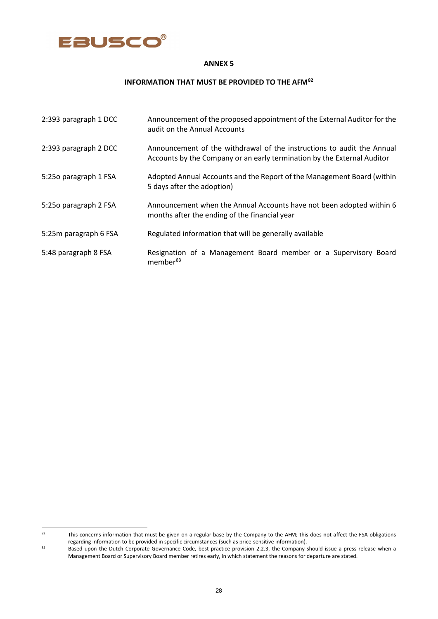

#### **ANNEX 5**

# **INFORMATION THAT MUST BE PROVIDED TO THE AFM[82](#page-27-0)**

| 2:393 paragraph 1 DCC | Announcement of the proposed appointment of the External Auditor for the<br>audit on the Annual Accounts                                          |
|-----------------------|---------------------------------------------------------------------------------------------------------------------------------------------------|
| 2:393 paragraph 2 DCC | Announcement of the withdrawal of the instructions to audit the Annual<br>Accounts by the Company or an early termination by the External Auditor |
| 5:250 paragraph 1 FSA | Adopted Annual Accounts and the Report of the Management Board (within<br>5 days after the adoption)                                              |
| 5:250 paragraph 2 FSA | Announcement when the Annual Accounts have not been adopted within 6<br>months after the ending of the financial year                             |
| 5:25m paragraph 6 FSA | Regulated information that will be generally available                                                                                            |
| 5:48 paragraph 8 FSA  | Resignation of a Management Board member or a Supervisory Board<br>member <sup>83</sup>                                                           |

<span id="page-27-0"></span> $82$  This concerns information that must be given on a regular base by the Company to the AFM; this does not affect the FSA obligations regarding information to be provided in specific circumstances (such as price-sensitive information).

<span id="page-27-1"></span><sup>83</sup> Based upon the Dutch Corporate Governance Code, best practice provision 2.2.3, the Company should issue a press release when a Management Board or Supervisory Board member retires early, in which statement the reasons for departure are stated.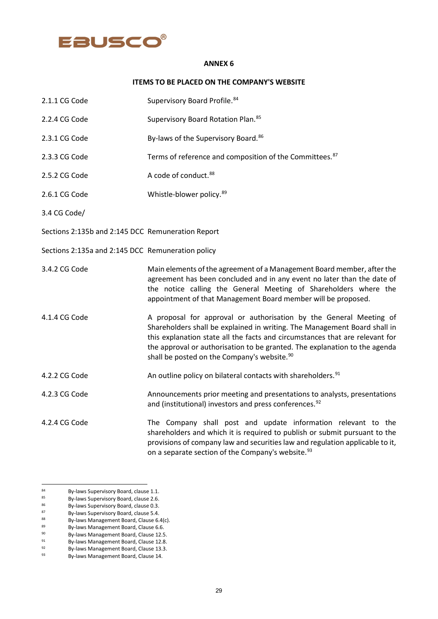# EBUSCO®

#### **ANNEX 6**

#### **ITEMS TO BE PLACED ON THE COMPANY'S WEBSITE**

| 2.1.1 CG Code                                     | Supervisory Board Profile. 84                                                                                                                                                                                                                                                                                                                                            |
|---------------------------------------------------|--------------------------------------------------------------------------------------------------------------------------------------------------------------------------------------------------------------------------------------------------------------------------------------------------------------------------------------------------------------------------|
| 2.2.4 CG Code                                     | Supervisory Board Rotation Plan. 85                                                                                                                                                                                                                                                                                                                                      |
| 2.3.1 CG Code                                     | By-laws of the Supervisory Board. <sup>86</sup>                                                                                                                                                                                                                                                                                                                          |
| 2.3.3 CG Code                                     | Terms of reference and composition of the Committees. <sup>87</sup>                                                                                                                                                                                                                                                                                                      |
| 2.5.2 CG Code                                     | A code of conduct. <sup>88</sup>                                                                                                                                                                                                                                                                                                                                         |
| 2.6.1 CG Code                                     | Whistle-blower policy. 89                                                                                                                                                                                                                                                                                                                                                |
| 3.4 CG Code/                                      |                                                                                                                                                                                                                                                                                                                                                                          |
| Sections 2:135b and 2:145 DCC Remuneration Report |                                                                                                                                                                                                                                                                                                                                                                          |
| Sections 2:135a and 2:145 DCC Remuneration policy |                                                                                                                                                                                                                                                                                                                                                                          |
| 3.4.2 CG Code                                     | Main elements of the agreement of a Management Board member, after the<br>agreement has been concluded and in any event no later than the date of<br>the notice calling the General Meeting of Shareholders where the<br>appointment of that Management Board member will be proposed.                                                                                   |
| 4.1.4 CG Code                                     | A proposal for approval or authorisation by the General Meeting of<br>Shareholders shall be explained in writing. The Management Board shall in<br>this explanation state all the facts and circumstances that are relevant for<br>the approval or authorisation to be granted. The explanation to the agenda<br>shall be posted on the Company's website. <sup>90</sup> |
| 4.2.2 CG Code                                     | An outline policy on bilateral contacts with shareholders. <sup>91</sup>                                                                                                                                                                                                                                                                                                 |
| 4.2.3 CG Code                                     | Announcements prior meeting and presentations to analysts, presentations<br>and (institutional) investors and press conferences. <sup>92</sup>                                                                                                                                                                                                                           |
| 4.2.4 CG Code                                     | The Company shall post and update information relevant to the<br>shareholders and which it is required to publish or submit pursuant to the<br>provisions of company law and securities law and regulation applicable to it,                                                                                                                                             |

on a separate section of the Company's website.<sup>[93](#page-28-9)</sup>

<span id="page-28-0"></span> $^{84}$  By-laws Supervisory Board, clause 1.1.<br> $^{85}$  By-laws Supervisory Board, clause 2.6

<span id="page-28-1"></span> $85$  By-laws Supervisory Board, clause 2.6.<br> $86$  By-laws Supervisory Board, clause 0.3.

<span id="page-28-2"></span> $86$  By-laws Supervisory Board, clause 0.3.<br>  $87$  By-laws Supervisory Board, clause 5.4

<span id="page-28-3"></span> $87$  By-laws Supervisory Board, clause 5.4.<br> $88$  By-laws Management Board, Clause 6.

<span id="page-28-4"></span> $88$  By-laws Management Board, Clause 6.4(c).<br> $89$  By-laws Management Board, Clause 6.6.

<span id="page-28-5"></span><sup>89</sup> By-laws Management Board, Clause 6.6.<br>By-laws Management Board, Clause 12.5.

<span id="page-28-6"></span> $^{90}$  By-laws Management Board, Clause 12.5.<br>By-laws Management Board, Clause 12.8.

<span id="page-28-7"></span> $\frac{91}{2}$  By-laws Management Board, Clause 12.8.<br>By-laws Management Board, Clause 12.8.

<span id="page-28-8"></span> $^{92}$  By-laws Management Board, Clause 13.3.<br>By-laws Management Board, Clause 14.

<span id="page-28-9"></span>By-laws Management Board, Clause 14.